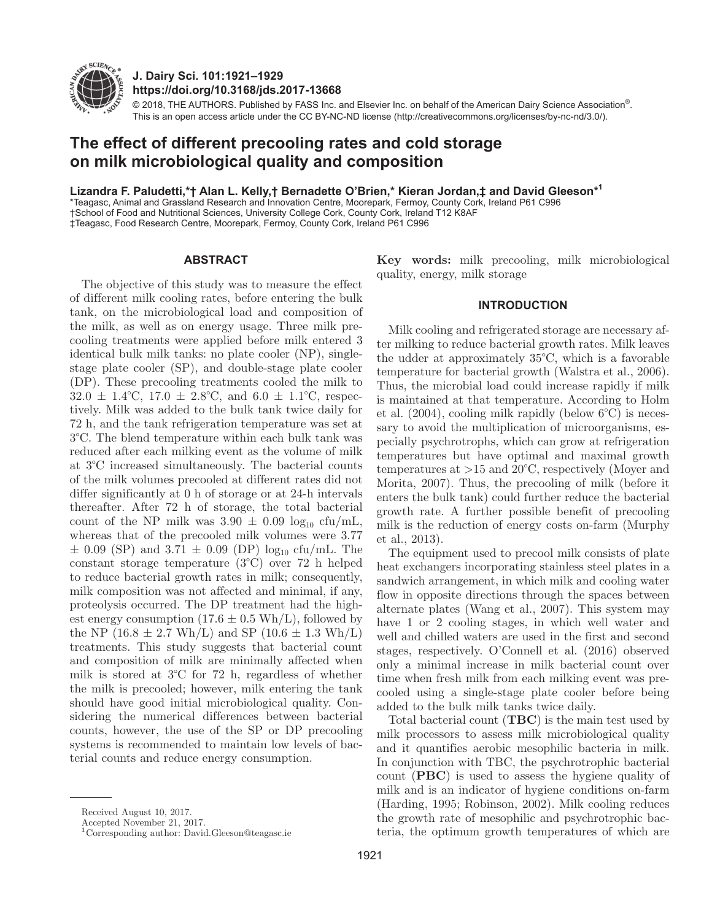

**J. Dairy Sci. 101:1921–1929 https://doi.org/10.3168/jds.2017-13668**

© 2018, THE AUTHORS. Published by FASS Inc. and Elsevier Inc. on behalf of the American Dairy Science Association®. This is an open access article under the CC BY-NC-ND license (http://creativecommons.org/licenses/by-nc-nd/3.0/).

# **The effect of different precooling rates and cold storage on milk microbiological quality and composition**

**Lizandra F. Paludetti,\*† Alan L. Kelly,† Bernadette O'Brien,\* Kieran Jordan,‡ and David Gleeson\*1**

\*Teagasc, Animal and Grassland Research and Innovation Centre, Moorepark, Fermoy, County Cork, Ireland P61 C996 †School of Food and Nutritional Sciences, University College Cork, County Cork, Ireland T12 K8AF ‡Teagasc, Food Research Centre, Moorepark, Fermoy, County Cork, Ireland P61 C996

#### **ABSTRACT**

The objective of this study was to measure the effect of different milk cooling rates, before entering the bulk tank, on the microbiological load and composition of the milk, as well as on energy usage. Three milk precooling treatments were applied before milk entered 3 identical bulk milk tanks: no plate cooler (NP), singlestage plate cooler (SP), and double-stage plate cooler (DP). These precooling treatments cooled the milk to  $32.0 \pm 1.4^{\circ}\text{C}$ ,  $17.0 \pm 2.8^{\circ}\text{C}$ , and  $6.0 \pm 1.1^{\circ}\text{C}$ , respectively. Milk was added to the bulk tank twice daily for 72 h, and the tank refrigeration temperature was set at 3°C. The blend temperature within each bulk tank was reduced after each milking event as the volume of milk at 3°C increased simultaneously. The bacterial counts of the milk volumes precooled at different rates did not differ significantly at 0 h of storage or at 24-h intervals thereafter. After 72 h of storage, the total bacterial count of the NP milk was  $3.90 \pm 0.09 \log_{10} \text{ctu/mL}$ , whereas that of the precooled milk volumes were 3.77  $\pm$  0.09 (SP) and 3.71  $\pm$  0.09 (DP) log<sub>10</sub> cfu/mL. The constant storage temperature (3°C) over 72 h helped to reduce bacterial growth rates in milk; consequently, milk composition was not affected and minimal, if any, proteolysis occurred. The DP treatment had the highest energy consumption  $(17.6 \pm 0.5 \text{ Wh/L})$ , followed by the NP (16.8  $\pm$  2.7 Wh/L) and SP (10.6  $\pm$  1.3 Wh/L) treatments. This study suggests that bacterial count and composition of milk are minimally affected when milk is stored at 3°C for 72 h, regardless of whether the milk is precooled; however, milk entering the tank should have good initial microbiological quality. Considering the numerical differences between bacterial counts, however, the use of the SP or DP precooling systems is recommended to maintain low levels of bacterial counts and reduce energy consumption.

**Key words:** milk precooling, milk microbiological quality, energy, milk storage

## **INTRODUCTION**

Milk cooling and refrigerated storage are necessary after milking to reduce bacterial growth rates. Milk leaves the udder at approximately 35°C, which is a favorable temperature for bacterial growth (Walstra et al., 2006). Thus, the microbial load could increase rapidly if milk is maintained at that temperature. According to Holm et al. (2004), cooling milk rapidly (below 6°C) is necessary to avoid the multiplication of microorganisms, especially psychrotrophs, which can grow at refrigeration temperatures but have optimal and maximal growth temperatures at  $>15$  and  $20^{\circ}$ C, respectively (Moyer and Morita, 2007). Thus, the precooling of milk (before it enters the bulk tank) could further reduce the bacterial growth rate. A further possible benefit of precooling milk is the reduction of energy costs on-farm (Murphy et al., 2013).

The equipment used to precool milk consists of plate heat exchangers incorporating stainless steel plates in a sandwich arrangement, in which milk and cooling water flow in opposite directions through the spaces between alternate plates (Wang et al., 2007). This system may have 1 or 2 cooling stages, in which well water and well and chilled waters are used in the first and second stages, respectively. O'Connell et al. (2016) observed only a minimal increase in milk bacterial count over time when fresh milk from each milking event was precooled using a single-stage plate cooler before being added to the bulk milk tanks twice daily.

Total bacterial count (**TBC**) is the main test used by milk processors to assess milk microbiological quality and it quantifies aerobic mesophilic bacteria in milk. In conjunction with TBC, the psychrotrophic bacterial count (**PBC**) is used to assess the hygiene quality of milk and is an indicator of hygiene conditions on-farm (Harding, 1995; Robinson, 2002). Milk cooling reduces the growth rate of mesophilic and psychrotrophic bacteria, the optimum growth temperatures of which are

Received August 10, 2017.

Accepted November 21, 2017.

**<sup>1</sup>**Corresponding author: David.Gleeson@teagasc.ie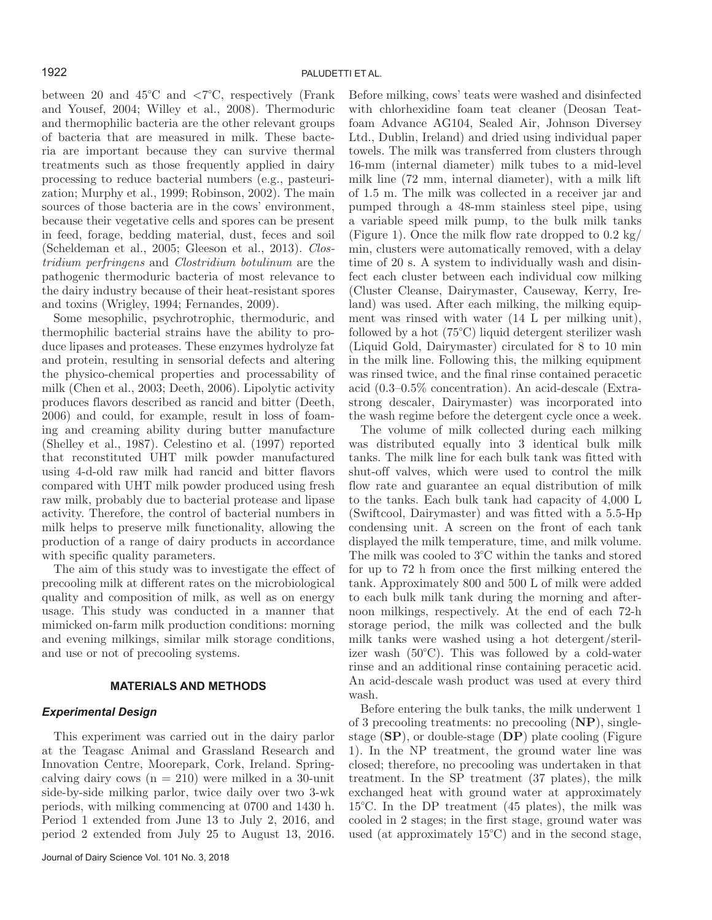between 20 and  $45^{\circ}$ C and  $\lt 7^{\circ}$ C, respectively (Frank and Yousef, 2004; Willey et al., 2008). Thermoduric and thermophilic bacteria are the other relevant groups of bacteria that are measured in milk. These bacteria are important because they can survive thermal treatments such as those frequently applied in dairy processing to reduce bacterial numbers (e.g., pasteurization; Murphy et al., 1999; Robinson, 2002). The main sources of those bacteria are in the cows' environment, because their vegetative cells and spores can be present in feed, forage, bedding material, dust, feces and soil (Scheldeman et al., 2005; Gleeson et al., 2013). *Clostridium perfringens* and *Clostridium botulinum* are the pathogenic thermoduric bacteria of most relevance to the dairy industry because of their heat-resistant spores and toxins (Wrigley, 1994; Fernandes, 2009).

Some mesophilic, psychrotrophic, thermoduric, and thermophilic bacterial strains have the ability to produce lipases and proteases. These enzymes hydrolyze fat and protein, resulting in sensorial defects and altering the physico-chemical properties and processability of milk (Chen et al., 2003; Deeth, 2006). Lipolytic activity produces flavors described as rancid and bitter (Deeth, 2006) and could, for example, result in loss of foaming and creaming ability during butter manufacture (Shelley et al., 1987). Celestino et al. (1997) reported that reconstituted UHT milk powder manufactured using 4-d-old raw milk had rancid and bitter flavors compared with UHT milk powder produced using fresh raw milk, probably due to bacterial protease and lipase activity. Therefore, the control of bacterial numbers in milk helps to preserve milk functionality, allowing the production of a range of dairy products in accordance with specific quality parameters.

The aim of this study was to investigate the effect of precooling milk at different rates on the microbiological quality and composition of milk, as well as on energy usage. This study was conducted in a manner that mimicked on-farm milk production conditions: morning and evening milkings, similar milk storage conditions, and use or not of precooling systems.

#### **MATERIALS AND METHODS**

## *Experimental Design*

This experiment was carried out in the dairy parlor at the Teagasc Animal and Grassland Research and Innovation Centre, Moorepark, Cork, Ireland. Springcalving dairy cows  $(n = 210)$  were milked in a 30-unit side-by-side milking parlor, twice daily over two 3-wk periods, with milking commencing at 0700 and 1430 h. Period 1 extended from June 13 to July 2, 2016, and period 2 extended from July 25 to August 13, 2016. Before milking, cows' teats were washed and disinfected with chlorhexidine foam teat cleaner (Deosan Teatfoam Advance AG104, Sealed Air, Johnson Diversey Ltd., Dublin, Ireland) and dried using individual paper towels. The milk was transferred from clusters through 16-mm (internal diameter) milk tubes to a mid-level milk line (72 mm, internal diameter), with a milk lift of 1.5 m. The milk was collected in a receiver jar and pumped through a 48-mm stainless steel pipe, using a variable speed milk pump, to the bulk milk tanks (Figure 1). Once the milk flow rate dropped to 0.2 kg/ min, clusters were automatically removed, with a delay time of 20 s. A system to individually wash and disinfect each cluster between each individual cow milking (Cluster Cleanse, Dairymaster, Causeway, Kerry, Ireland) was used. After each milking, the milking equipment was rinsed with water (14 L per milking unit), followed by a hot (75°C) liquid detergent sterilizer wash (Liquid Gold, Dairymaster) circulated for 8 to 10 min in the milk line. Following this, the milking equipment was rinsed twice, and the final rinse contained peracetic acid (0.3–0.5% concentration). An acid-descale (Extrastrong descaler, Dairymaster) was incorporated into the wash regime before the detergent cycle once a week.

The volume of milk collected during each milking was distributed equally into 3 identical bulk milk tanks. The milk line for each bulk tank was fitted with shut-off valves, which were used to control the milk flow rate and guarantee an equal distribution of milk to the tanks. Each bulk tank had capacity of 4,000 L (Swiftcool, Dairymaster) and was fitted with a 5.5-Hp condensing unit. A screen on the front of each tank displayed the milk temperature, time, and milk volume. The milk was cooled to 3°C within the tanks and stored for up to 72 h from once the first milking entered the tank. Approximately 800 and 500 L of milk were added to each bulk milk tank during the morning and afternoon milkings, respectively. At the end of each 72-h storage period, the milk was collected and the bulk milk tanks were washed using a hot detergent/sterilizer wash (50°C). This was followed by a cold-water rinse and an additional rinse containing peracetic acid. An acid-descale wash product was used at every third wash.

Before entering the bulk tanks, the milk underwent 1 of 3 precooling treatments: no precooling (**NP**), singlestage (**SP**), or double-stage (**DP**) plate cooling (Figure 1). In the NP treatment, the ground water line was closed; therefore, no precooling was undertaken in that treatment. In the SP treatment (37 plates), the milk exchanged heat with ground water at approximately 15°C. In the DP treatment (45 plates), the milk was cooled in 2 stages; in the first stage, ground water was used (at approximately 15°C) and in the second stage,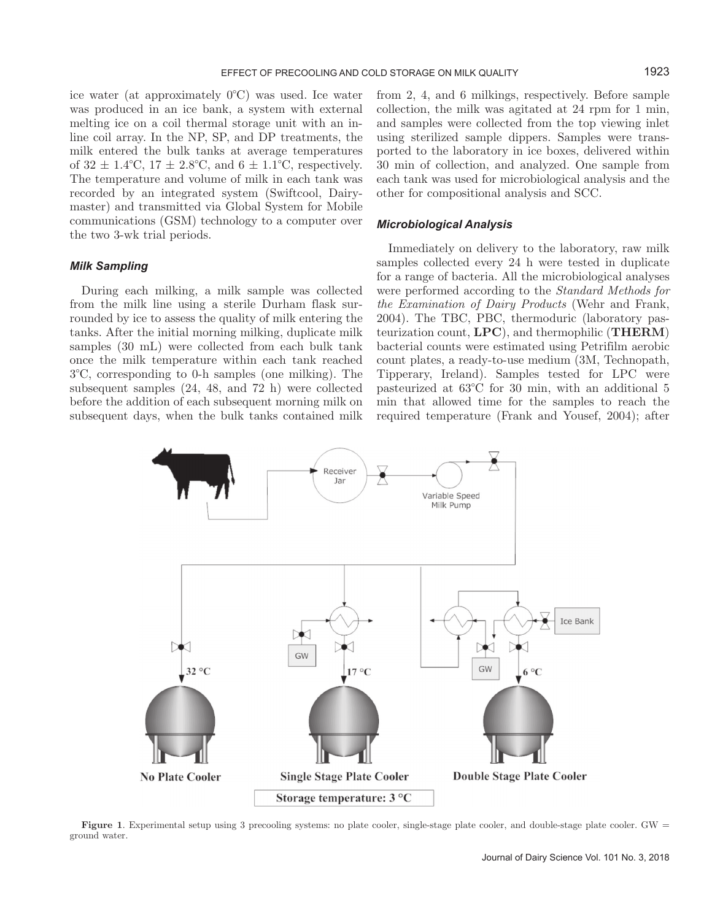ice water (at approximately 0°C) was used. Ice water was produced in an ice bank, a system with external melting ice on a coil thermal storage unit with an inline coil array. In the NP, SP, and DP treatments, the milk entered the bulk tanks at average temperatures of  $32 \pm 1.4$ °C,  $17 \pm 2.8$ °C, and  $6 \pm 1.1$ °C, respectively. The temperature and volume of milk in each tank was recorded by an integrated system (Swiftcool, Dairymaster) and transmitted via Global System for Mobile communications (GSM) technology to a computer over the two 3-wk trial periods.

## *Milk Sampling*

During each milking, a milk sample was collected from the milk line using a sterile Durham flask surrounded by ice to assess the quality of milk entering the tanks. After the initial morning milking, duplicate milk samples (30 mL) were collected from each bulk tank once the milk temperature within each tank reached 3°C, corresponding to 0-h samples (one milking). The subsequent samples (24, 48, and 72 h) were collected before the addition of each subsequent morning milk on subsequent days, when the bulk tanks contained milk from 2, 4, and 6 milkings, respectively. Before sample collection, the milk was agitated at 24 rpm for 1 min, and samples were collected from the top viewing inlet using sterilized sample dippers. Samples were transported to the laboratory in ice boxes, delivered within 30 min of collection, and analyzed. One sample from each tank was used for microbiological analysis and the other for compositional analysis and SCC.

## *Microbiological Analysis*

Immediately on delivery to the laboratory, raw milk samples collected every 24 h were tested in duplicate for a range of bacteria. All the microbiological analyses were performed according to the *Standard Methods for the Examination of Dairy Products* (Wehr and Frank, 2004). The TBC, PBC, thermoduric (laboratory pasteurization count, **LPC**), and thermophilic (**THERM**) bacterial counts were estimated using Petrifilm aerobic count plates, a ready-to-use medium (3M, Technopath, Tipperary, Ireland). Samples tested for LPC were pasteurized at 63°C for 30 min, with an additional 5 min that allowed time for the samples to reach the required temperature (Frank and Yousef, 2004); after



Figure 1. Experimental setup using 3 precooling systems: no plate cooler, single-stage plate cooler, and double-stage plate cooler. GW = ground water.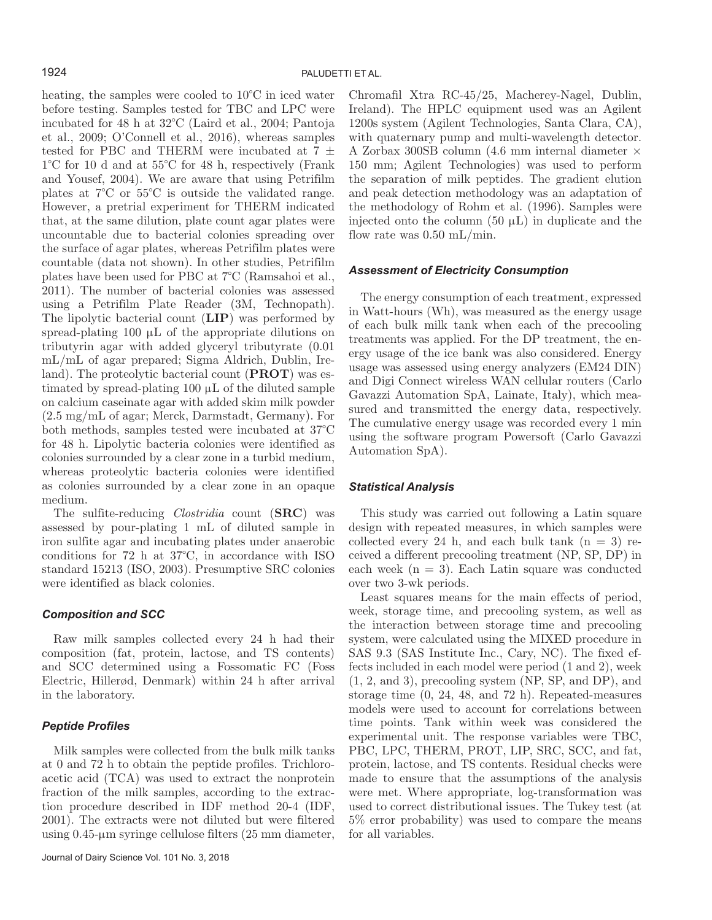heating, the samples were cooled to 10°C in iced water before testing. Samples tested for TBC and LPC were incubated for 48 h at 32°C (Laird et al., 2004; Pantoja et al., 2009; O'Connell et al., 2016), whereas samples tested for PBC and THERM were incubated at 7  $\pm$ 1°C for 10 d and at 55°C for 48 h, respectively (Frank and Yousef, 2004). We are aware that using Petrifilm plates at 7°C or 55°C is outside the validated range. However, a pretrial experiment for THERM indicated that, at the same dilution, plate count agar plates were uncountable due to bacterial colonies spreading over the surface of agar plates, whereas Petrifilm plates were countable (data not shown). In other studies, Petrifilm plates have been used for PBC at 7°C (Ramsahoi et al., 2011). The number of bacterial colonies was assessed using a Petrifilm Plate Reader (3M, Technopath). The lipolytic bacterial count (**LIP**) was performed by spread-plating 100  $\mu$ L of the appropriate dilutions on tributyrin agar with added glyceryl tributyrate (0.01 mL/mL of agar prepared; Sigma Aldrich, Dublin, Ireland). The proteolytic bacterial count (**PROT**) was estimated by spread-plating  $100 \mu L$  of the diluted sample on calcium caseinate agar with added skim milk powder (2.5 mg/mL of agar; Merck, Darmstadt, Germany). For both methods, samples tested were incubated at 37°C for 48 h. Lipolytic bacteria colonies were identified as colonies surrounded by a clear zone in a turbid medium, whereas proteolytic bacteria colonies were identified as colonies surrounded by a clear zone in an opaque medium.

The sulfite-reducing *Clostridia* count (**SRC**) was assessed by pour-plating 1 mL of diluted sample in iron sulfite agar and incubating plates under anaerobic conditions for 72 h at 37°C, in accordance with ISO standard 15213 (ISO, 2003). Presumptive SRC colonies were identified as black colonies.

## *Composition and SCC*

Raw milk samples collected every 24 h had their composition (fat, protein, lactose, and TS contents) and SCC determined using a Fossomatic FC (Foss Electric, Hillerød, Denmark) within 24 h after arrival in the laboratory.

## *Peptide Profiles*

Milk samples were collected from the bulk milk tanks at 0 and 72 h to obtain the peptide profiles. Trichloroacetic acid (TCA) was used to extract the nonprotein fraction of the milk samples, according to the extraction procedure described in IDF method 20-4 (IDF, 2001). The extracts were not diluted but were filtered using  $0.45$ - $\mu$ m syringe cellulose filters (25 mm diameter, Chromafil Xtra RC-45/25, Macherey-Nagel, Dublin, Ireland). The HPLC equipment used was an Agilent 1200s system (Agilent Technologies, Santa Clara, CA), with quaternary pump and multi-wavelength detector. A Zorbax 300SB column (4.6 mm internal diameter × 150 mm; Agilent Technologies) was used to perform the separation of milk peptides. The gradient elution and peak detection methodology was an adaptation of the methodology of Rohm et al. (1996). Samples were injected onto the column  $(50 \mu L)$  in duplicate and the flow rate was 0.50 mL/min.

### *Assessment of Electricity Consumption*

The energy consumption of each treatment, expressed in Watt-hours (Wh), was measured as the energy usage of each bulk milk tank when each of the precooling treatments was applied. For the DP treatment, the energy usage of the ice bank was also considered. Energy usage was assessed using energy analyzers (EM24 DIN) and Digi Connect wireless WAN cellular routers (Carlo Gavazzi Automation SpA, Lainate, Italy), which measured and transmitted the energy data, respectively. The cumulative energy usage was recorded every 1 min using the software program Powersoft (Carlo Gavazzi Automation SpA).

## *Statistical Analysis*

This study was carried out following a Latin square design with repeated measures, in which samples were collected every 24 h, and each bulk tank  $(n = 3)$  received a different precooling treatment (NP, SP, DP) in each week  $(n = 3)$ . Each Latin square was conducted over two 3-wk periods.

Least squares means for the main effects of period, week, storage time, and precooling system, as well as the interaction between storage time and precooling system, were calculated using the MIXED procedure in SAS 9.3 (SAS Institute Inc., Cary, NC). The fixed effects included in each model were period (1 and 2), week (1, 2, and 3), precooling system (NP, SP, and DP), and storage time (0, 24, 48, and 72 h). Repeated-measures models were used to account for correlations between time points. Tank within week was considered the experimental unit. The response variables were TBC, PBC, LPC, THERM, PROT, LIP, SRC, SCC, and fat, protein, lactose, and TS contents. Residual checks were made to ensure that the assumptions of the analysis were met. Where appropriate, log-transformation was used to correct distributional issues. The Tukey test (at 5% error probability) was used to compare the means for all variables.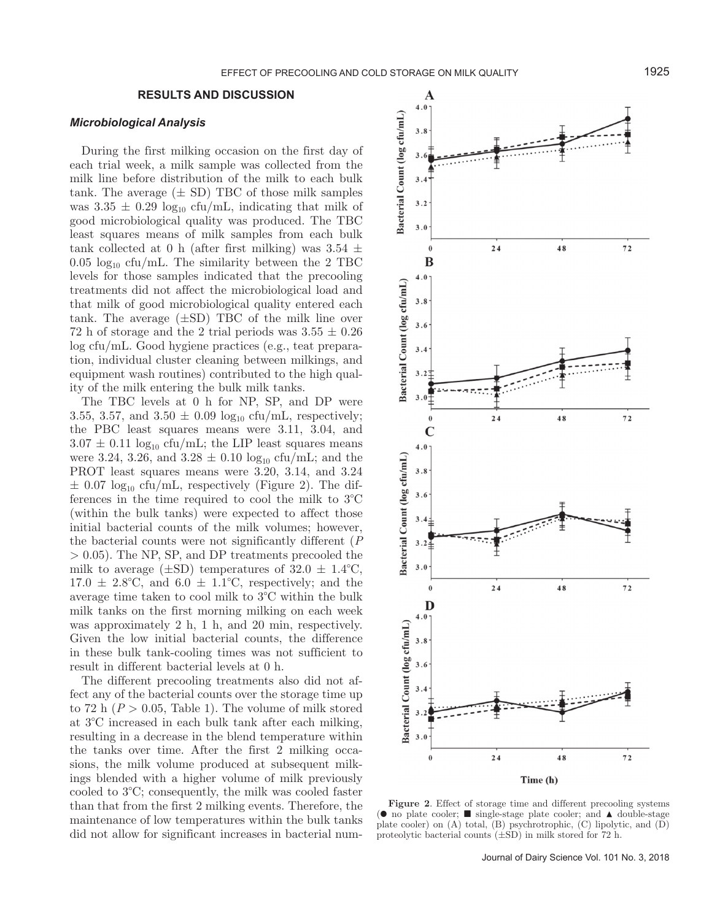## **RESULTS AND DISCUSSION**

#### *Microbiological Analysis*

During the first milking occasion on the first day of each trial week, a milk sample was collected from the milk line before distribution of the milk to each bulk tank. The average  $(\pm SD)$  TBC of those milk samples was  $3.35 \pm 0.29$  log<sub>10</sub> cfu/mL, indicating that milk of good microbiological quality was produced. The TBC least squares means of milk samples from each bulk tank collected at 0 h (after first milking) was  $3.54 \pm$  $0.05 \log_{10} c \text{fu/mL}$ . The similarity between the 2 TBC levels for those samples indicated that the precooling treatments did not affect the microbiological load and that milk of good microbiological quality entered each tank. The average  $(\pm SD)$  TBC of the milk line over 72 h of storage and the 2 trial periods was  $3.55 \pm 0.26$ log cfu/mL. Good hygiene practices (e.g., teat preparation, individual cluster cleaning between milkings, and equipment wash routines) contributed to the high quality of the milk entering the bulk milk tanks.

The TBC levels at 0 h for NP, SP, and DP were 3.55, 3.57, and  $3.50 \pm 0.09 \log_{10} \text{cfu/mL}$ , respectively; the PBC least squares means were 3.11, 3.04, and  $3.07 \pm 0.11 \log_{10} \text{cfu/mL}$ ; the LIP least squares means were 3.24, 3.26, and  $3.28 \pm 0.10 \log_{10} c \text{fu/mL}$ ; and the PROT least squares means were 3.20, 3.14, and 3.24  $\pm$  0.07 log<sub>10</sub> cfu/mL, respectively (Figure 2). The differences in the time required to cool the milk to 3°C (within the bulk tanks) were expected to affect those initial bacterial counts of the milk volumes; however, the bacterial counts were not significantly different (*P* > 0.05). The NP, SP, and DP treatments precooled the milk to average  $(\pm SD)$  temperatures of  $32.0 \pm 1.4$ °C,  $17.0 \pm 2.8$ °C, and  $6.0 \pm 1.1$ °C, respectively; and the average time taken to cool milk to 3°C within the bulk milk tanks on the first morning milking on each week was approximately 2 h, 1 h, and 20 min, respectively. Given the low initial bacterial counts, the difference in these bulk tank-cooling times was not sufficient to result in different bacterial levels at 0 h.

The different precooling treatments also did not affect any of the bacterial counts over the storage time up to 72 h  $(P > 0.05,$  Table 1). The volume of milk stored at 3°C increased in each bulk tank after each milking, resulting in a decrease in the blend temperature within the tanks over time. After the first 2 milking occasions, the milk volume produced at subsequent milkings blended with a higher volume of milk previously cooled to 3°C; consequently, the milk was cooled faster than that from the first 2 milking events. Therefore, the maintenance of low temperatures within the bulk tanks did not allow for significant increases in bacterial num-



**Figure 2**. Effect of storage time and different precooling systems (● no plate cooler; ■ single-stage plate cooler; and ▲ double-stage plate cooler) on (A) total, (B) psychrotrophic, (C) lipolytic, and (D) proteolytic bacterial counts  $(\pm SD)$  in milk stored for 72 h.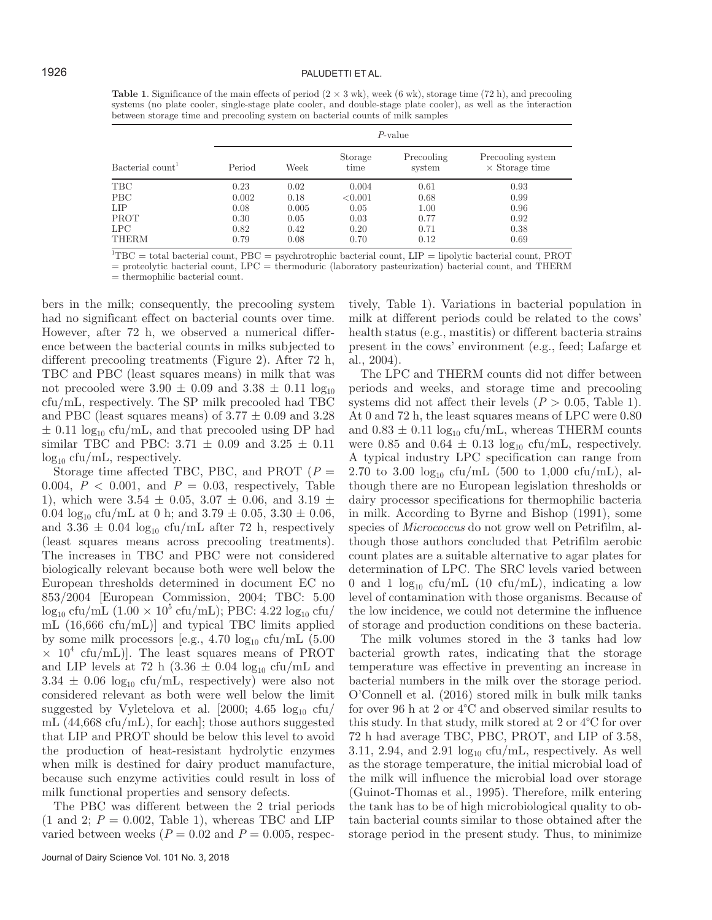## 1926 PALUDETTI ET AL.

**Table 1**. Significance of the main effects of period  $(2 \times 3 \text{ wk})$ , week  $(6 \text{ wk})$ , storage time  $(72 \text{ h})$ , and precooling systems (no plate cooler, single-stage plate cooler, and double-stage plate cooler), as well as the interaction between storage time and precooling system on bacterial counts of milk samples

| Bacterial count <sup>1</sup> | $P$ -value |       |                 |                      |                                            |
|------------------------------|------------|-------|-----------------|----------------------|--------------------------------------------|
|                              | Period     | Week  | Storage<br>time | Precooling<br>system | Precooling system<br>$\times$ Storage time |
| TBC                          | 0.23       | 0.02  | 0.004           | 0.61                 | 0.93                                       |
| <b>PBC</b>                   | 0.002      | 0.18  | < 0.001         | 0.68                 | 0.99                                       |
| LIP                          | 0.08       | 0.005 | 0.05            | 1.00                 | 0.96                                       |
| PROT                         | 0.30       | 0.05  | 0.03            | 0.77                 | 0.92                                       |
| LPC                          | 0.82       | 0.42  | 0.20            | 0.71                 | 0.38                                       |
| <b>THERM</b>                 | 0.79       | 0.08  | 0.70            | 0.12                 | 0.69                                       |

 ${}^{1}$ TBC = total bacterial count, PBC = psychrotrophic bacterial count, LIP = lipolytic bacterial count, PROT

= proteolytic bacterial count, LPC = thermoduric (laboratory pasteurization) bacterial count, and THERM

 $=$  thermophilic bacterial count.

bers in the milk; consequently, the precooling system had no significant effect on bacterial counts over time. However, after 72 h, we observed a numerical difference between the bacterial counts in milks subjected to different precooling treatments (Figure 2). After 72 h, TBC and PBC (least squares means) in milk that was not precooled were  $3.90 \pm 0.09$  and  $3.38 \pm 0.11$  log<sub>10</sub> cfu/mL, respectively. The SP milk precooled had TBC and PBC (least squares means) of  $3.77 \pm 0.09$  and  $3.28$  $\pm$  0.11 log<sub>10</sub> cfu/mL, and that precooled using DP had similar TBC and PBC:  $3.71 \pm 0.09$  and  $3.25 \pm 0.11$  $log_{10}$  cfu/mL, respectively.

Storage time affected TBC, PBC, and PROT (*P* = 0.004,  $P < 0.001$ , and  $P = 0.03$ , respectively, Table 1), which were  $3.54 \pm 0.05$ ,  $3.07 \pm 0.06$ , and  $3.19 \pm 0.06$ 0.04  $\log_{10}$  cfu/mL at 0 h; and 3.79  $\pm$  0.05, 3.30  $\pm$  0.06, and  $3.36 \pm 0.04 \text{ log}_{10} \text{ cftu/mL}$  after 72 h, respectively (least squares means across precooling treatments). The increases in TBC and PBC were not considered biologically relevant because both were well below the European thresholds determined in document EC no 853/2004 [European Commission, 2004; TBC: 5.00  $\log_{10}$  cfu/mL  $(1.00 \times 10^5 \text{ cftu/mL});$  PBC:  $4.22 \log_{10} \text{ cftu/}$ mL (16,666 cfu/mL)] and typical TBC limits applied by some milk processors [e.g., 4.70  $log_{10}$  cfu/mL (5.00  $\times$  10<sup>4</sup> cfu/mL). The least squares means of PROT and LIP levels at 72 h (3.36  $\pm$  0.04 log<sub>10</sub> cfu/mL and  $3.34 \pm 0.06 \log_{10} \text{cftm}$ . respectively) were also not considered relevant as both were well below the limit suggested by Vyletelova et al. [2000; 4.65  $log_{10}$  cfu/ mL (44,668 cfu/mL), for each]; those authors suggested that LIP and PROT should be below this level to avoid the production of heat-resistant hydrolytic enzymes when milk is destined for dairy product manufacture, because such enzyme activities could result in loss of milk functional properties and sensory defects.

The PBC was different between the 2 trial periods  $(1 \text{ and } 2; P = 0.002, \text{ Table } 1), \text{ whereas TBC and LIP}$ varied between weeks  $(P = 0.02$  and  $P = 0.005$ , respectively, Table 1). Variations in bacterial population in milk at different periods could be related to the cows' health status (e.g., mastitis) or different bacteria strains present in the cows' environment (e.g., feed; Lafarge et al., 2004).

The LPC and THERM counts did not differ between periods and weeks, and storage time and precooling systems did not affect their levels  $(P > 0.05,$  Table 1). At 0 and 72 h, the least squares means of LPC were 0.80 and  $0.83 \pm 0.11 \log_{10} \text{ctu/mL}$ , whereas THERM counts were 0.85 and 0.64  $\pm$  0.13 log<sub>10</sub> cfu/mL, respectively. A typical industry LPC specification can range from 2.70 to 3.00  $log_{10}$  cfu/mL (500 to 1,000 cfu/mL), although there are no European legislation thresholds or dairy processor specifications for thermophilic bacteria in milk. According to Byrne and Bishop (1991), some species of *Micrococcus* do not grow well on Petrifilm, although those authors concluded that Petrifilm aerobic count plates are a suitable alternative to agar plates for determination of LPC. The SRC levels varied between 0 and 1  $\log_{10}$  cfu/mL (10 cfu/mL), indicating a low level of contamination with those organisms. Because of the low incidence, we could not determine the influence of storage and production conditions on these bacteria.

The milk volumes stored in the 3 tanks had low bacterial growth rates, indicating that the storage temperature was effective in preventing an increase in bacterial numbers in the milk over the storage period. O'Connell et al. (2016) stored milk in bulk milk tanks for over 96 h at 2 or 4°C and observed similar results to this study. In that study, milk stored at 2 or 4°C for over 72 h had average TBC, PBC, PROT, and LIP of 3.58, 3.11, 2.94, and 2.91  $log_{10}$  cfu/mL, respectively. As well as the storage temperature, the initial microbial load of the milk will influence the microbial load over storage (Guinot-Thomas et al., 1995). Therefore, milk entering the tank has to be of high microbiological quality to obtain bacterial counts similar to those obtained after the storage period in the present study. Thus, to minimize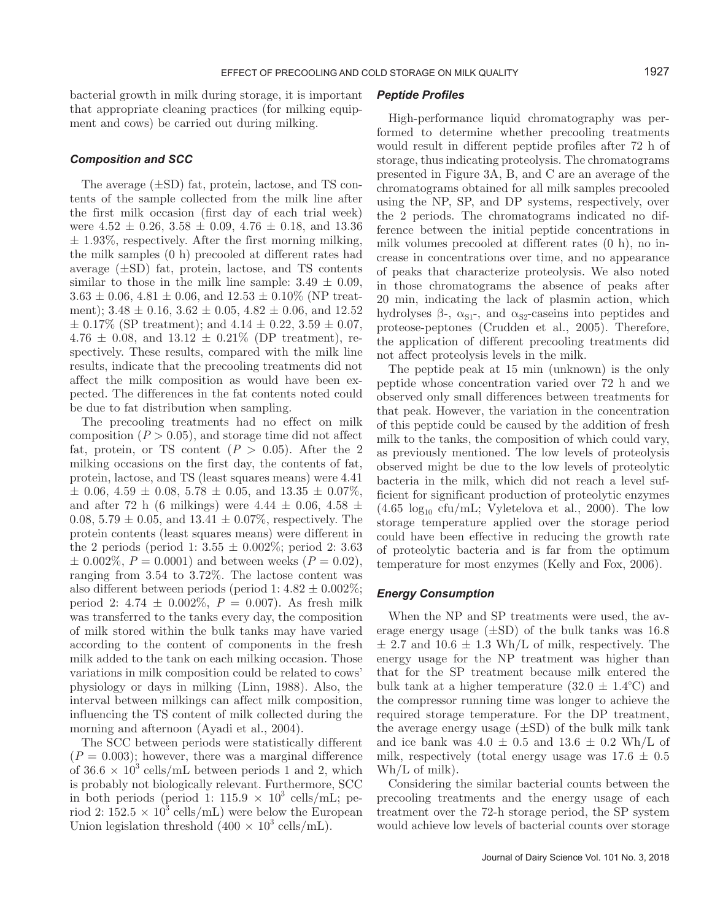bacterial growth in milk during storage, it is important that appropriate cleaning practices (for milking equipment and cows) be carried out during milking.

## *Composition and SCC*

The average (±SD) fat, protein, lactose, and TS contents of the sample collected from the milk line after the first milk occasion (first day of each trial week) were  $4.52 \pm 0.26$ ,  $3.58 \pm 0.09$ ,  $4.76 \pm 0.18$ , and  $13.36$  $\pm$  1.93%, respectively. After the first morning milking, the milk samples (0 h) precooled at different rates had average  $(\pm SD)$  fat, protein, lactose, and TS contents similar to those in the milk line sample:  $3.49 \pm 0.09$ ,  $3.63 \pm 0.06$ ,  $4.81 \pm 0.06$ , and  $12.53 \pm 0.10\%$  (NP treatment);  $3.48 \pm 0.16$ ,  $3.62 \pm 0.05$ ,  $4.82 \pm 0.06$ , and  $12.52$  $\pm$  0.17% (SP treatment); and 4.14  $\pm$  0.22, 3.59  $\pm$  0.07,  $4.76 \pm 0.08$ , and  $13.12 \pm 0.21\%$  (DP treatment), respectively. These results, compared with the milk line results, indicate that the precooling treatments did not affect the milk composition as would have been expected. The differences in the fat contents noted could be due to fat distribution when sampling.

The precooling treatments had no effect on milk composition  $(P > 0.05)$ , and storage time did not affect fat, protein, or TS content  $(P > 0.05)$ . After the 2 milking occasions on the first day, the contents of fat, protein, lactose, and TS (least squares means) were 4.41  $\pm$  0.06, 4.59  $\pm$  0.08, 5.78  $\pm$  0.05, and 13.35  $\pm$  0.07%, and after 72 h (6 milkings) were  $4.44 \pm 0.06, 4.58 \pm 0.06$ 0.08,  $5.79 \pm 0.05$ , and  $13.41 \pm 0.07\%$ , respectively. The protein contents (least squares means) were different in the 2 periods (period 1:  $3.55 \pm 0.002\%$ ; period 2: 3.63  $\pm$  0.002\%,  $P = 0.0001$ ) and between weeks ( $P = 0.02$ ), ranging from 3.54 to 3.72%. The lactose content was also different between periods (period 1:  $4.82 \pm 0.002\%$ ; period 2:  $4.74 \pm 0.002\%$ ,  $P = 0.007$ ). As fresh milk was transferred to the tanks every day, the composition of milk stored within the bulk tanks may have varied according to the content of components in the fresh milk added to the tank on each milking occasion. Those variations in milk composition could be related to cows' physiology or days in milking (Linn, 1988). Also, the interval between milkings can affect milk composition, influencing the TS content of milk collected during the morning and afternoon (Ayadi et al., 2004).

The SCC between periods were statistically different  $(P = 0.003)$ ; however, there was a marginal difference of  $36.6 \times 10^3$  cells/mL between periods 1 and 2, which is probably not biologically relevant. Furthermore, SCC in both periods (period 1: 115.9  $\times$  10<sup>3</sup> cells/mL; period 2:  $152.5 \times 10^3$  cells/mL) were below the European Union legislation threshold  $(400 \times 10^3 \text{ cells/mL})$ .

## *Peptide Profiles*

High-performance liquid chromatography was performed to determine whether precooling treatments would result in different peptide profiles after 72 h of storage, thus indicating proteolysis. The chromatograms presented in Figure 3A, B, and C are an average of the chromatograms obtained for all milk samples precooled using the NP, SP, and DP systems, respectively, over the 2 periods. The chromatograms indicated no difference between the initial peptide concentrations in milk volumes precooled at different rates (0 h), no increase in concentrations over time, and no appearance of peaks that characterize proteolysis. We also noted in those chromatograms the absence of peaks after 20 min, indicating the lack of plasmin action, which hydrolyses  $\beta$ -,  $\alpha_{S1}$ -, and  $\alpha_{S2}$ -caseins into peptides and proteose-peptones (Crudden et al., 2005). Therefore, the application of different precooling treatments did not affect proteolysis levels in the milk.

The peptide peak at 15 min (unknown) is the only peptide whose concentration varied over 72 h and we observed only small differences between treatments for that peak. However, the variation in the concentration of this peptide could be caused by the addition of fresh milk to the tanks, the composition of which could vary, as previously mentioned. The low levels of proteolysis observed might be due to the low levels of proteolytic bacteria in the milk, which did not reach a level sufficient for significant production of proteolytic enzymes  $(4.65 \text{ log}_{10} \text{ cftu/mL};$  Vyletelova et al., 2000). The low storage temperature applied over the storage period could have been effective in reducing the growth rate of proteolytic bacteria and is far from the optimum temperature for most enzymes (Kelly and Fox, 2006).

#### *Energy Consumption*

When the NP and SP treatments were used, the average energy usage  $(\pm SD)$  of the bulk tanks was 16.8  $\pm$  2.7 and 10.6  $\pm$  1.3 Wh/L of milk, respectively. The energy usage for the NP treatment was higher than that for the SP treatment because milk entered the bulk tank at a higher temperature  $(32.0 \pm 1.4^{\circ}C)$  and the compressor running time was longer to achieve the required storage temperature. For the DP treatment, the average energy usage  $(\pm SD)$  of the bulk milk tank and ice bank was  $4.0 \pm 0.5$  and  $13.6 \pm 0.2$  Wh/L of milk, respectively (total energy usage was  $17.6 \pm 0.5$ ) Wh/L of milk).

Considering the similar bacterial counts between the precooling treatments and the energy usage of each treatment over the 72-h storage period, the SP system would achieve low levels of bacterial counts over storage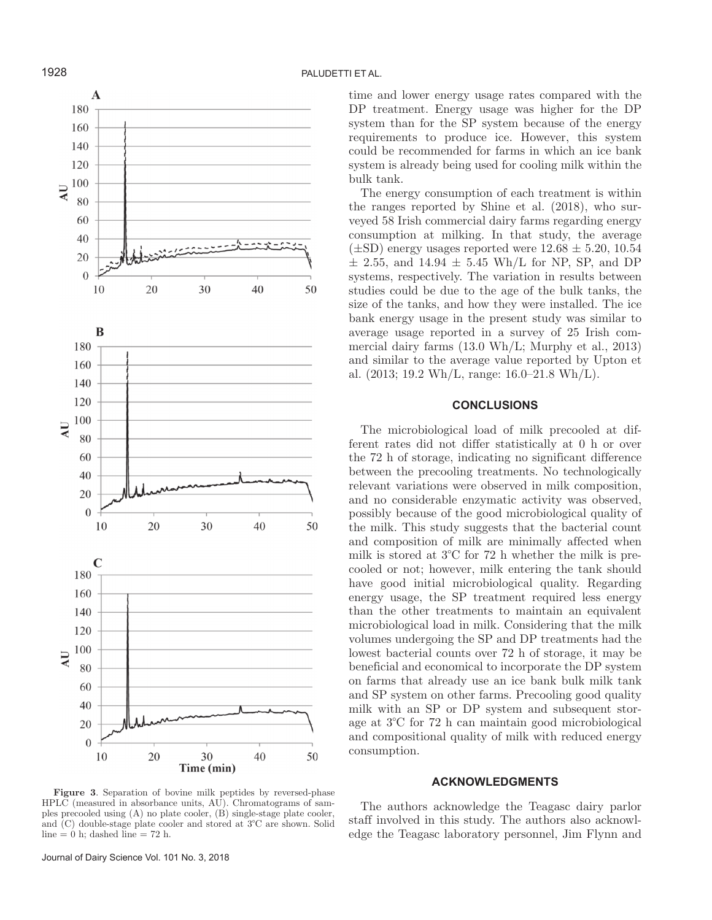

**Figure 3**. Separation of bovine milk peptides by reversed-phase HPLC (measured in absorbance units, AU). Chromatograms of samples precooled using (A) no plate cooler, (B) single-stage plate cooler, and (C) double-stage plate cooler and stored at 3°C are shown. Solid line  $= 0$  h; dashed line  $= 72$  h.

Journal of Dairy Science Vol. 101 No. 3, 2018

time and lower energy usage rates compared with the DP treatment. Energy usage was higher for the DP system than for the SP system because of the energy requirements to produce ice. However, this system could be recommended for farms in which an ice bank system is already being used for cooling milk within the bulk tank.

The energy consumption of each treatment is within the ranges reported by Shine et al. (2018), who surveyed 58 Irish commercial dairy farms regarding energy consumption at milking. In that study, the average  $(\pm SD)$  energy usages reported were  $12.68 \pm 5.20, 10.54$  $\pm$  2.55, and 14.94  $\pm$  5.45 Wh/L for NP, SP, and DP systems, respectively. The variation in results between studies could be due to the age of the bulk tanks, the size of the tanks, and how they were installed. The ice bank energy usage in the present study was similar to average usage reported in a survey of 25 Irish commercial dairy farms (13.0 Wh/L; Murphy et al., 2013) and similar to the average value reported by Upton et al.  $(2013; 19.2 \text{ Wh/L}, \text{range: } 16.0{\text -}21.8 \text{ Wh/L}).$ 

# **CONCLUSIONS**

The microbiological load of milk precooled at different rates did not differ statistically at 0 h or over the 72 h of storage, indicating no significant difference between the precooling treatments. No technologically relevant variations were observed in milk composition, and no considerable enzymatic activity was observed, possibly because of the good microbiological quality of the milk. This study suggests that the bacterial count and composition of milk are minimally affected when milk is stored at 3°C for 72 h whether the milk is precooled or not; however, milk entering the tank should have good initial microbiological quality. Regarding energy usage, the SP treatment required less energy than the other treatments to maintain an equivalent microbiological load in milk. Considering that the milk volumes undergoing the SP and DP treatments had the lowest bacterial counts over 72 h of storage, it may be beneficial and economical to incorporate the DP system on farms that already use an ice bank bulk milk tank and SP system on other farms. Precooling good quality milk with an SP or DP system and subsequent storage at 3°C for 72 h can maintain good microbiological and compositional quality of milk with reduced energy consumption.

# **ACKNOWLEDGMENTS**

The authors acknowledge the Teagasc dairy parlor staff involved in this study. The authors also acknowledge the Teagasc laboratory personnel, Jim Flynn and